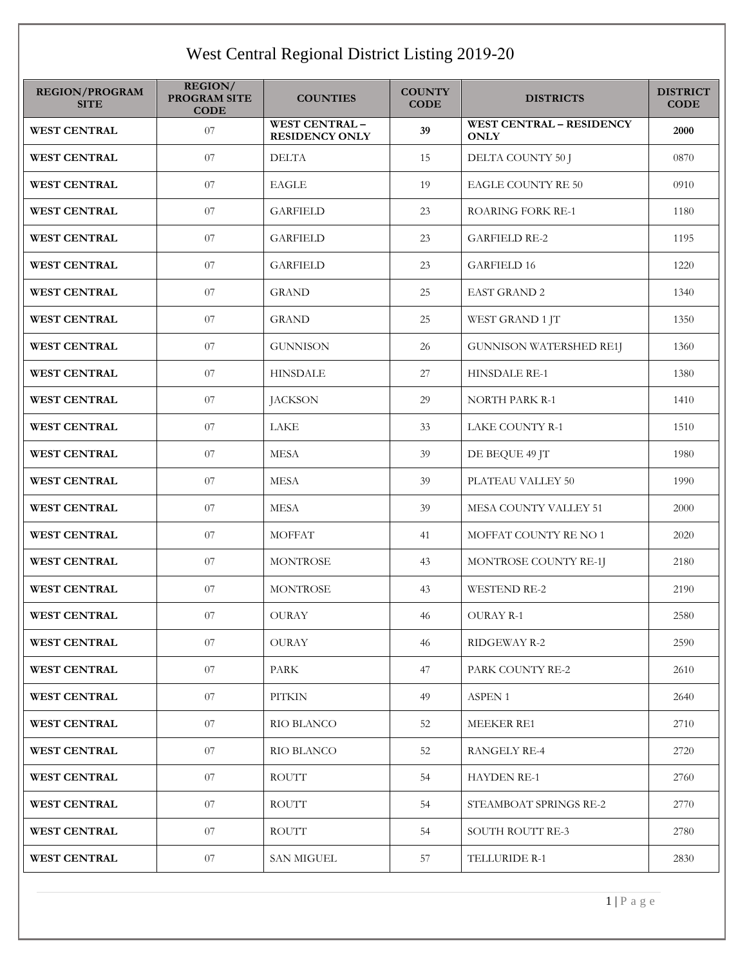## West Central Regional District Listing 2019-20

| <b>REGION/PROGRAM</b><br><b>SITE</b> | REGION/<br><b>PROGRAM SITE</b><br><b>CODE</b> | <b>COUNTIES</b>                               | <b>COUNTY</b><br><b>CODE</b> | <b>DISTRICTS</b>                               | <b>DISTRICT</b><br><b>CODE</b> |
|--------------------------------------|-----------------------------------------------|-----------------------------------------------|------------------------------|------------------------------------------------|--------------------------------|
| <b>WEST CENTRAL</b>                  | 07                                            | <b>WEST CENTRAL-</b><br><b>RESIDENCY ONLY</b> | 39                           | <b>WEST CENTRAL - RESIDENCY</b><br><b>ONLY</b> | 2000                           |
| <b>WEST CENTRAL</b>                  | 07                                            | <b>DELTA</b>                                  | 15                           | DELTA COUNTY 50 J                              | 0870                           |
| <b>WEST CENTRAL</b>                  | 07                                            | <b>EAGLE</b>                                  | 19                           | <b>EAGLE COUNTY RE 50</b>                      | 0910                           |
| <b>WEST CENTRAL</b>                  | 07                                            | <b>GARFIELD</b>                               | 23                           | ROARING FORK RE-1                              | 1180                           |
| <b>WEST CENTRAL</b>                  | $07\,$                                        | <b>GARFIELD</b>                               | 23                           | <b>GARFIELD RE-2</b>                           | 1195                           |
| <b>WEST CENTRAL</b>                  | $07\,$                                        | <b>GARFIELD</b>                               | 23                           | <b>GARFIELD 16</b>                             | 1220                           |
| <b>WEST CENTRAL</b>                  | 07                                            | <b>GRAND</b>                                  | 25                           | <b>EAST GRAND 2</b>                            | 1340                           |
| <b>WEST CENTRAL</b>                  | 07                                            | <b>GRAND</b>                                  | 25                           | WEST GRAND 1 JT                                | 1350                           |
| <b>WEST CENTRAL</b>                  | 07                                            | <b>GUNNISON</b>                               | 26                           | <b>GUNNISON WATERSHED RE1J</b>                 | 1360                           |
| <b>WEST CENTRAL</b>                  | 07                                            | <b>HINSDALE</b>                               | 27                           | HINSDALE RE-1                                  | 1380                           |
| <b>WEST CENTRAL</b>                  | 07                                            | <b>JACKSON</b>                                | 29                           | <b>NORTH PARK R-1</b>                          | 1410                           |
| <b>WEST CENTRAL</b>                  | 07                                            | LAKE                                          | 33                           | LAKE COUNTY R-1                                | 1510                           |
| <b>WEST CENTRAL</b>                  | $07\,$                                        | <b>MESA</b>                                   | 39                           | DE BEQUE 49 JT                                 | 1980                           |
| <b>WEST CENTRAL</b>                  | 07                                            | <b>MESA</b>                                   | 39                           | PLATEAU VALLEY 50                              | 1990                           |
| <b>WEST CENTRAL</b>                  | 07                                            | <b>MESA</b>                                   | 39                           | MESA COUNTY VALLEY 51                          | 2000                           |
| <b>WEST CENTRAL</b>                  | 07                                            | <b>MOFFAT</b>                                 | 41                           | MOFFAT COUNTY RE NO 1                          | 2020                           |
| <b>WEST CENTRAL</b>                  | 07                                            | <b>MONTROSE</b>                               | 43                           | MONTROSE COUNTY RE-1J                          | 2180                           |
| <b>WEST CENTRAL</b>                  | 07                                            | <b>MONTROSE</b>                               | 43                           | <b>WESTEND RE-2</b>                            | 2190                           |
| <b>WEST CENTRAL</b>                  | 07                                            | <b>OURAY</b>                                  | 46                           | OURAY R-1                                      | 2580                           |
| <b>WEST CENTRAL</b>                  | 07                                            | OURAY                                         | 46                           | RIDGEWAY R-2                                   | 2590                           |
| <b>WEST CENTRAL</b>                  | 07                                            | <b>PARK</b>                                   | 47                           | PARK COUNTY RE-2                               | 2610                           |
| <b>WEST CENTRAL</b>                  | 07                                            | PITKIN                                        | 49                           | <b>ASPEN 1</b>                                 | 2640                           |
| <b>WEST CENTRAL</b>                  | 07                                            | <b>RIO BLANCO</b>                             | 52                           | <b>MEEKER RE1</b>                              | 2710                           |
| <b>WEST CENTRAL</b>                  | 07                                            | <b>RIO BLANCO</b>                             | 52                           | <b>RANGELY RE-4</b>                            | 2720                           |
| <b>WEST CENTRAL</b>                  | 07                                            | ROUTT                                         | 54                           | <b>HAYDEN RE-1</b>                             | 2760                           |
| <b>WEST CENTRAL</b>                  | 07                                            | ROUTT                                         | 54                           | STEAMBOAT SPRINGS RE-2                         | 2770                           |
| <b>WEST CENTRAL</b>                  | 07                                            | ROUTT                                         | 54                           | SOUTH ROUTT RE-3                               | 2780                           |
| <b>WEST CENTRAL</b>                  | 07                                            | SAN MIGUEL                                    | 57                           | TELLURIDE R-1                                  | 2830                           |